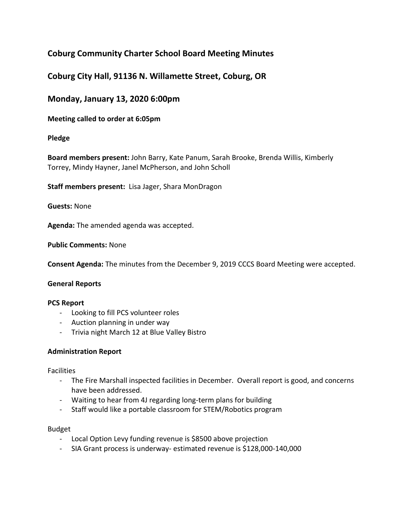# **Coburg Community Charter School Board Meeting Minutes**

## **Coburg City Hall, 91136 N. Willamette Street, Coburg, OR**

## **Monday, January 13, 2020 6:00pm**

## **Meeting called to order at 6:05pm**

### **Pledge**

**Board members present:** John Barry, Kate Panum, Sarah Brooke, Brenda Willis, Kimberly Torrey, Mindy Hayner, Janel McPherson, and John Scholl

**Staff members present:** Lisa Jager, Shara MonDragon

**Guests:** None

**Agenda:** The amended agenda was accepted.

**Public Comments:** None

**Consent Agenda:** The minutes from the December 9, 2019 CCCS Board Meeting were accepted.

#### **General Reports**

#### **PCS Report**

- Looking to fill PCS volunteer roles
- Auction planning in under way
- Trivia night March 12 at Blue Valley Bistro

#### **Administration Report**

Facilities

- The Fire Marshall inspected facilities in December. Overall report is good, and concerns have been addressed.
- Waiting to hear from 4J regarding long-term plans for building
- Staff would like a portable classroom for STEM/Robotics program

#### Budget

- Local Option Levy funding revenue is \$8500 above projection
- SIA Grant process is underway- estimated revenue is \$128,000-140,000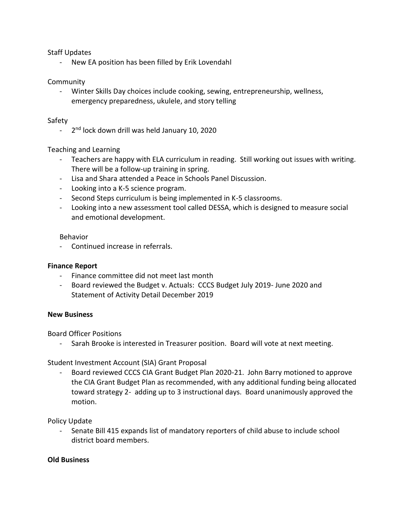Staff Updates

- New EA position has been filled by Erik Lovendahl

#### Community

- Winter Skills Day choices include cooking, sewing, entrepreneurship, wellness, emergency preparedness, ukulele, and story telling

#### Safety

- 2<sup>nd</sup> lock down drill was held January 10, 2020

### Teaching and Learning

- Teachers are happy with ELA curriculum in reading. Still working out issues with writing. There will be a follow-up training in spring.
- Lisa and Shara attended a Peace in Schools Panel Discussion.
- Looking into a K-5 science program.
- Second Steps curriculum is being implemented in K-5 classrooms.
- Looking into a new assessment tool called DESSA, which is designed to measure social and emotional development.

#### Behavior

- Continued increase in referrals.

#### **Finance Report**

- Finance committee did not meet last month
- Board reviewed the Budget v. Actuals: CCCS Budget July 2019- June 2020 and Statement of Activity Detail December 2019

#### **New Business**

Board Officer Positions

- Sarah Brooke is interested in Treasurer position. Board will vote at next meeting.

#### Student Investment Account (SIA) Grant Proposal

- Board reviewed CCCS CIA Grant Budget Plan 2020-21. John Barry motioned to approve the CIA Grant Budget Plan as recommended, with any additional funding being allocated toward strategy 2- adding up to 3 instructional days. Board unanimously approved the motion.

Policy Update

- Senate Bill 415 expands list of mandatory reporters of child abuse to include school district board members.

#### **Old Business**